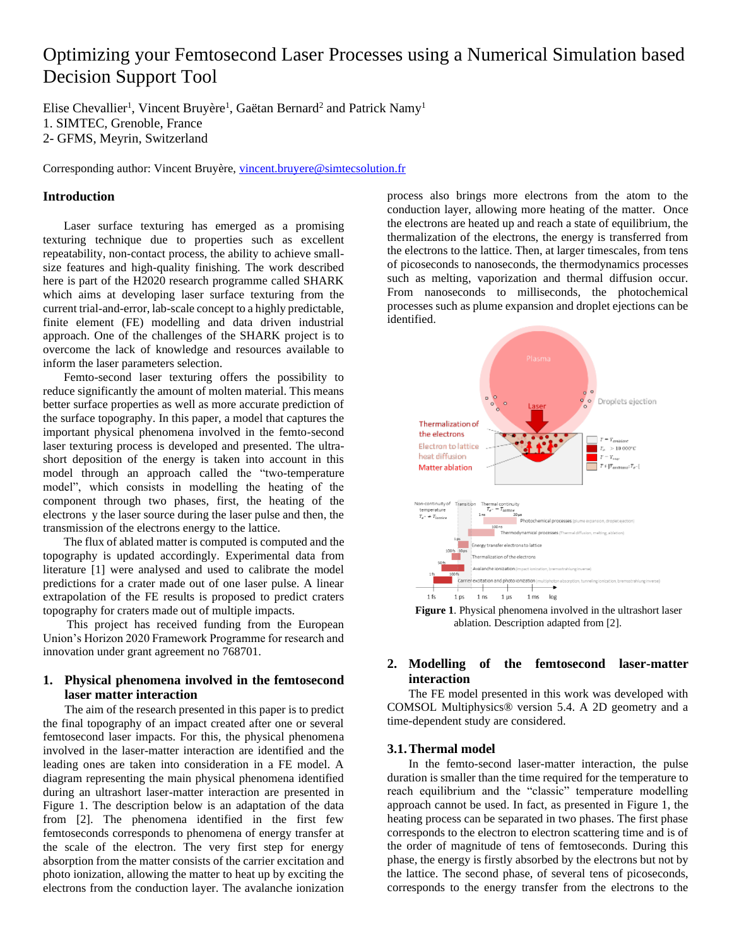# Optimizing your Femtosecond Laser Processes using a Numerical Simulation based Decision Support Tool

Elise Chevallier<sup>1</sup>, Vincent Bruyère<sup>1</sup>, Gaëtan Bernard<sup>2</sup> and Patrick Namy<sup>1</sup> 1. SIMTEC, Grenoble, France 2- GFMS, Meyrin, Switzerland

Corresponding author: Vincent Bruyère, [vincent.bruyere@simtecsolution.fr](mailto:vincent.bruyere@simtecsolution.fr)

## **Introduction**

Laser surface texturing has emerged as a promising texturing technique due to properties such as excellent repeatability, non-contact process, the ability to achieve smallsize features and high-quality finishing. The work described here is part of the H2020 research programme called SHARK which aims at developing laser surface texturing from the current trial-and-error, lab-scale concept to a highly predictable, finite element (FE) modelling and data driven industrial approach. One of the challenges of the SHARK project is to overcome the lack of knowledge and resources available to inform the laser parameters selection.

Femto-second laser texturing offers the possibility to reduce significantly the amount of molten material. This means better surface properties as well as more accurate prediction of the surface topography. In this paper, a model that captures the important physical phenomena involved in the femto-second laser texturing process is developed and presented. The ultrashort deposition of the energy is taken into account in this model through an approach called the "two-temperature model", which consists in modelling the heating of the component through two phases, first, the heating of the electrons y the laser source during the laser pulse and then, the transmission of the electrons energy to the lattice.

The flux of ablated matter is computed is computed and the topography is updated accordingly. Experimental data from literature [1] were analysed and used to calibrate the model predictions for a crater made out of one laser pulse. A linear extrapolation of the FE results is proposed to predict craters topography for craters made out of multiple impacts.

This project has received funding from the European Union's Horizon 2020 Framework Programme for research and innovation under grant agreement no 768701.

# **1. Physical phenomena involved in the femtosecond laser matter interaction**

The aim of the research presented in this paper is to predict the final topography of an impact created after one or several femtosecond laser impacts. For this, the physical phenomena involved in the laser-matter interaction are identified and the leading ones are taken into consideration in a FE model. A diagram representing the main physical phenomena identified during an ultrashort laser-matter interaction are presented in Figure 1. The description below is an adaptation of the data from [2]. The phenomena identified in the first few femtoseconds corresponds to phenomena of energy transfer at the scale of the electron. The very first step for energy absorption from the matter consists of the carrier excitation and photo ionization, allowing the matter to heat up by exciting the electrons from the conduction layer. The avalanche ionization

process also brings more electrons from the atom to the conduction layer, allowing more heating of the matter. Once the electrons are heated up and reach a state of equilibrium, the thermalization of the electrons, the energy is transferred from the electrons to the lattice. Then, at larger timescales, from tens of picoseconds to nanoseconds, the thermodynamics processes such as melting, vaporization and thermal diffusion occur. From nanoseconds to milliseconds, the photochemical processes such as plume expansion and droplet ejections can be identified.



**Figure 1**. Physical phenomena involved in the ultrashort laser ablation. Description adapted from [2].

# **2. Modelling of the femtosecond laser-matter interaction**

The FE model presented in this work was developed with COMSOL Multiphysics® version 5.4. A 2D geometry and a time-dependent study are considered.

## **3.1.Thermal model**

In the femto-second laser-matter interaction, the pulse duration is smaller than the time required for the temperature to reach equilibrium and the "classic" temperature modelling approach cannot be used. In fact, as presented in Figure 1, the heating process can be separated in two phases. The first phase corresponds to the electron to electron scattering time and is of the order of magnitude of tens of femtoseconds. During this phase, the energy is firstly absorbed by the electrons but not by the lattice. The second phase, of several tens of picoseconds, corresponds to the energy transfer from the electrons to the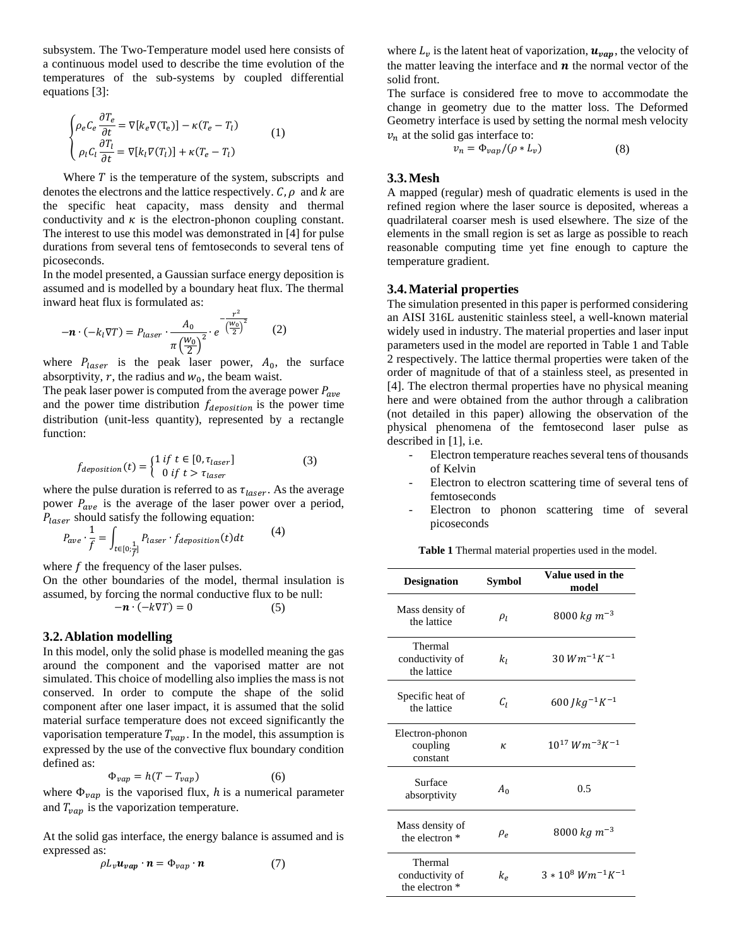subsystem. The Two-Temperature model used here consists of a continuous model used to describe the time evolution of the temperatures of the sub-systems by coupled differential equations [3]:

(1)

$$
\begin{cases}\n\rho_e C_e \frac{\partial T_e}{\partial t} = \nabla [k_e \nabla (T_e)] - \kappa (T_e - T_l) \\
\rho_l C_l \frac{\partial T_l}{\partial t} = \nabla [k_l \nabla (T_l)] + \kappa (T_e - T_l)\n\end{cases}
$$
\n(1)

Where  $T$  is the temperature of the system, subscripts and denotes the electrons and the lattice respectively.  $C, \rho$  and  $k$  are the specific heat capacity, mass density and thermal conductivity and  $\kappa$  is the electron-phonon coupling constant. The interest to use this model was demonstrated in [4] for pulse durations from several tens of femtoseconds to several tens of picoseconds.

In the model presented, a Gaussian surface energy deposition is assumed and is modelled by a boundary heat flux. The thermal inward heat flux is formulated as:

$$
-\boldsymbol{n} \cdot (-k_l \nabla T) = P_{laser} \cdot \frac{A_0}{\pi \left(\frac{W_0}{2}\right)^2} \cdot e^{-\frac{r^2}{\left(\frac{W_0}{2}\right)^2}} \tag{2}
$$

where  $P_{laser}$  is the peak laser power,  $A_0$ , the surface absorptivity,  $r$ , the radius and  $w_0$ , the beam waist.

The peak laser power is computed from the average power  $P_{ave}$ and the power time distribution  $f_{deposition}$  is the power time distribution (unit-less quantity), represented by a rectangle function:

$$
f_{deposition}(t) = \begin{cases} 1 \text{ if } t \in [0, \tau_{laser}] \\ 0 \text{ if } t > \tau_{laser} \end{cases}
$$
 (3)

where the pulse duration is referred to as  $\tau_{laser}$ . As the average power  $P_{ave}$  is the average of the laser power over a period,  $P_{laser}$  should satisfy the following equation:

$$
P_{ave} \cdot \frac{1}{f} = \int_{t \in [0; \frac{1}{f}]} P_{laser} \cdot f_{deposition}(t) dt \tag{4}
$$

where  $f$  the frequency of the laser pulses.

On the other boundaries of the model, thermal insulation is assumed, by forcing the normal conductive flux to be null:

$$
-\boldsymbol{n} \cdot (-k\nabla T) = 0 \tag{5}
$$

## **3.2.Ablation modelling**

In this model, only the solid phase is modelled meaning the gas around the component and the vaporised matter are not simulated. This choice of modelling also implies the mass is not conserved. In order to compute the shape of the solid component after one laser impact, it is assumed that the solid material surface temperature does not exceed significantly the vaporisation temperature  $T_{vap}$ . In the model, this assumption is expressed by the use of the convective flux boundary condition defined as:

$$
\Phi_{vap} = h(T - T_{vap})\tag{6}
$$

where  $\Phi_{vap}$  is the vaporised flux, h is a numerical parameter and  $T_{vap}$  is the vaporization temperature.

At the solid gas interface, the energy balance is assumed and is expressed as:

$$
\rho L_{\nu} u_{vap} \cdot \boldsymbol{n} = \Phi_{vap} \cdot \boldsymbol{n} \tag{7}
$$

where  $L_{\nu}$  is the latent heat of vaporization,  $\boldsymbol{u}_{vap}$ , the velocity of the matter leaving the interface and  $n$  the normal vector of the solid front.

The surface is considered free to move to accommodate the change in geometry due to the matter loss. The Deformed Geometry interface is used by setting the normal mesh velocity  $v_n$  at the solid gas interface to:

$$
v_n = \Phi_{vap} / (\rho * L_v) \tag{8}
$$

#### **3.3.Mesh**

A mapped (regular) mesh of quadratic elements is used in the refined region where the laser source is deposited, whereas a quadrilateral coarser mesh is used elsewhere. The size of the elements in the small region is set as large as possible to reach reasonable computing time yet fine enough to capture the temperature gradient.

#### **3.4.Material properties**

The simulation presented in this paper is performed considering an AISI 316L austenitic stainless steel, a well-known material widely used in industry. The material properties and laser input parameters used in the model are reported in Table 1 and Table 2 respectively. The lattice thermal properties were taken of the order of magnitude of that of a stainless steel, as presented in [4]. The electron thermal properties have no physical meaning here and were obtained from the author through a calibration (not detailed in this paper) allowing the observation of the physical phenomena of the femtosecond laser pulse as described in [1], i.e.

- Electron temperature reaches several tens of thousands of Kelvin
- Electron to electron scattering time of several tens of femtoseconds
- Electron to phonon scattering time of several picoseconds

**Table 1** Thermal material properties used in the model.

| <b>Designation</b>                                      | Symbol   | Value used in the<br>model |
|---------------------------------------------------------|----------|----------------------------|
| Mass density of<br>the lattice                          | $\rho_l$ | 8000 kg m <sup>-3</sup>    |
| Thermal<br>conductivity of<br>the lattice               | kı       | $30 W m^{-1} K^{-1}$       |
| Specific heat of<br>the lattice                         | Сı       | 600 $Jkg^{-1}K^{-1}$       |
| Electron-phonon<br>coupling<br>constant                 | K.       | $10^{17} Wm^{-3}K^{-1}$    |
| Surface<br>absorptivity                                 | $A_0$    | 0.5                        |
| Mass density of<br>the electron <sup>*</sup>            | $\rho_e$ | 8000 kg m <sup>-3</sup>    |
| Thermal<br>conductivity of<br>the electron <sup>*</sup> | $k_e$    | $3*10^8 Wm^{-1}K^{-1}$     |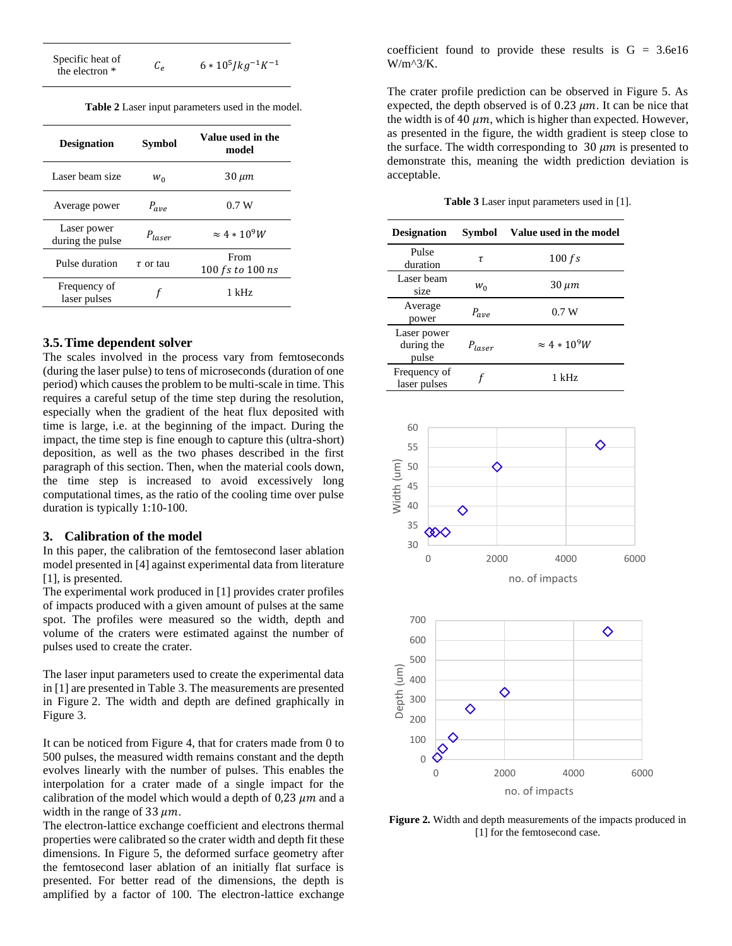Specific heat of the electron  $\kappa$   $C_e$ 

 $Jkg^{-1}K^{-1}$ 

| Table 2 Laser input parameters used in the model. |
|---------------------------------------------------|
|---------------------------------------------------|

| <b>Designation</b>              | Symbol        | Value used in the<br>model |
|---------------------------------|---------------|----------------------------|
| Laser beam size                 | $W_{\Omega}$  | 30 µm                      |
| Average power                   | $P_{ave}$     | 0.7W                       |
| Laser power<br>during the pulse | $P_{laser}$   | $\approx 4*10^9W$          |
| Pulse duration                  | $\tau$ or tau | From<br>100 fs to 100 ns   |
| Frequency of<br>laser pulses    |               | 1 kHz                      |

## **3.5.Time dependent solver**

The scales involved in the process vary from femtoseconds (during the laser pulse) to tens of microseconds (duration of one period) which causes the problem to be multi-scale in time. This requires a careful setup of the time step during the resolution, especially when the gradient of the heat flux deposited with time is large, i.e. at the beginning of the impact. During the impact, the time step is fine enough to capture this (ultra-short) deposition, as well as the two phases described in the first paragraph of this section. Then, when the material cools down, the time step is increased to avoid excessively long computational times, as the ratio of the cooling time over pulse duration is typically 1:10-100.

#### **3. Calibration of the model**

In this paper, the calibration of the femtosecond laser ablation model presented in [4] against experimental data from literature [1], is presented.

The experimental work produced in [1] provides crater profiles of impacts produced with a given amount of pulses at the same spot. The profiles were measured so the width, depth and volume of the craters were estimated against the number of pulses used to create the crater.

The laser input parameters used to create the experimental data in [1] are presented in Table 3. The measurements are presented in Figure 2. The width and depth are defined graphically in Figure 3.

It can be noticed from Figure 4, that for craters made from 0 to 500 pulses, the measured width remains constant and the depth evolves linearly with the number of pulses. This enables the interpolation for a crater made of a single impact for the calibration of the model which would a depth of  $0.23 \mu m$  and a width in the range of 33  $\mu$ m.

The electron-lattice exchange coefficient and electrons thermal properties were calibrated so the crater width and depth fit these dimensions. In Figure 5, the deformed surface geometry after the femtosecond laser ablation of an initially flat surface is presented. For better read of the dimensions, the depth is amplified by a factor of 100. The electron-lattice exchange coefficient found to provide these results is  $G = 3.6e16$ W/m^3/K.

The crater profile prediction can be observed in Figure 5. As expected, the depth observed is of 0.23  $\mu$ m. It can be nice that the width is of 40  $\mu$ m, which is higher than expected. However, as presented in the figure, the width gradient is steep close to the surface. The width corresponding to  $30 \mu m$  is presented to demonstrate this, meaning the width prediction deviation is acceptable.

**Table 3** Laser input parameters used in [1].

| <b>Designation</b>                 | Symbol      | Value used in the model |
|------------------------------------|-------------|-------------------------|
| Pulse<br>duration                  | τ           | 100 fs                  |
| Laser beam<br>size                 | W∩          | $30 \ \mu m$            |
| Average<br>power                   | $P_{ave}$   | 0.7W                    |
| Laser power<br>during the<br>pulse | $P_{laser}$ | $\approx 4*10^9W$       |
| Frequency of<br>laser pulses       |             | 1 kHz                   |



**Figure 2.** Width and depth measurements of the impacts produced in [1] for the femtosecond case.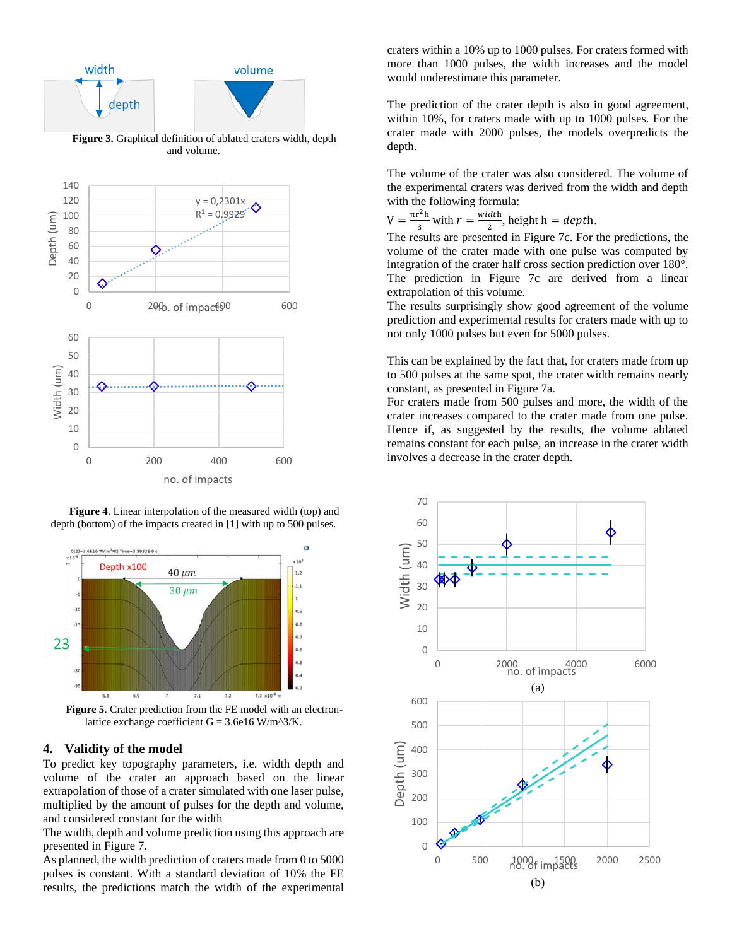



**Figure 4**. Linear interpolation of the measured width (top) and depth (bottom) of the impacts created in [1] with up to 500 pulses.



lattice exchange coefficient  $G = 3.6e16$  W/m^3/K.

### **4. Validity of the model**

To predict key topography parameters, i.e. width depth and volume of the crater an approach based on the linear extrapolation of those of a crater simulated with one laser pulse, multiplied by the amount of pulses for the depth and volume, and considered constant for the width

The width, depth and volume prediction using this approach are presented in Figure 7.

As planned, the width prediction of craters made from 0 to 5000 pulses is constant. With a standard deviation of 10% the FE results, the predictions match the width of the experimental craters within a 10% up to 1000 pulses. For craters formed with more than 1000 pulses, the width increases and the model would underestimate this parameter.

The prediction of the crater depth is also in good agreement, within 10%, for craters made with up to 1000 pulses. For the crater made with 2000 pulses, the models overpredicts the depth.

The volume of the crater was also considered. The volume of the experimental craters was derived from the width and depth with the following formula:

$$
V = \frac{\pi r^2 h}{3} \text{ with } r = \frac{\text{width}}{2}, \text{ height } h = \text{depth}.
$$

The results are presented in Figure 7c. For the predictions, the volume of the crater made with one pulse was computed by integration of the crater half cross section prediction over 180°. The prediction in Figure 7c are derived from a linear extrapolation of this volume.

The results surprisingly show good agreement of the volume prediction and experimental results for craters made with up to not only 1000 pulses but even for 5000 pulses.

This can be explained by the fact that, for craters made from up to 500 pulses at the same spot, the crater width remains nearly constant, as presented in Figure 7a.

For craters made from 500 pulses and more, the width of the crater increases compared to the crater made from one pulse. Hence if, as suggested by the results, the volume ablated remains constant for each pulse, an increase in the crater width involves a decrease in the crater depth.